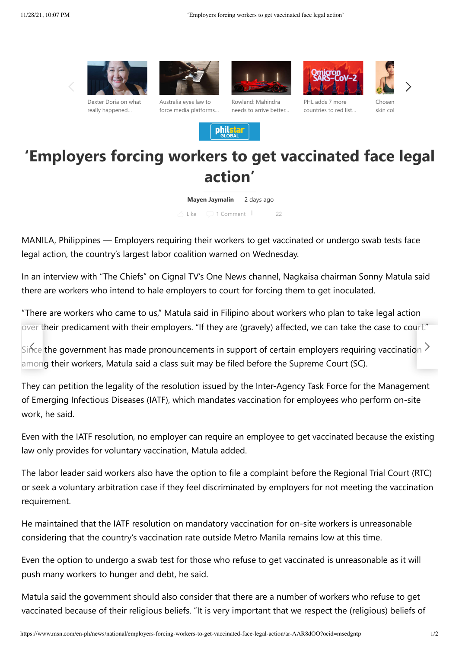











[Chosen](https://www.msn.com/en-ph/entertainment/other/chosen-because-of-her-skin-color-quinn-carrillo-plays-a-transman-in-viva-s-eva/ar-AARdOBX?ocid=msedgntp) skin col

[force media platforms…](https://www.msn.com/en-ph/news/world/australia-eyes-law-to-force-media-platforms-to-unmask-online-trolls/ar-AARdUf1?ocid=msedgntp)

Australia eyes law to

Rowland: Mahindra [needs to arrive better…](https://www.msn.com/en-ph/sports/motorsports/rowland-mahindra-needs-to-arrive-better-prepared-to-fe-weekends/ar-AARdVoW?ocid=msedgntp)

PHL adds 7 more [countries to red list…](https://www.msn.com/en-ph/news/national/philippines-adds-7-more-countries-to-red-list-over-covid-19-omicron-variant/ar-AARdG44?ocid=msedgntp)

**'Employers forcing workers to get vaccinated face legal action'**

**philstar** 

**Mayen Jaymalin** 2 days ago

Like 1 Comment | 22

MANILA, Philippines — Employers requiring their workers to get vaccinated or undergo swab tests face legal action, the country's largest labor coalition warned on Wednesday.

In an interview with "The Chiefs" on Cignal TV's One News channel, Nagkaisa chairman Sonny Matula said there are workers who intend to hale employers to court for forcing them to get inoculated.

"There are workers who came to us," Matula said in Filipino about workers who plan to take legal action over their predicament with their employers. "If they are (gravely) affected, we can take the case to court."

[Since](https://www.msn.com/en-ph/entertainment/other/veteran-actress-dexter-doria-willing-to-testify-what-really-happened-during-martial-law/ar-AARdA2Q?ocid=msedgntp) the government has made pronouncements in support of certain employers requiring vaccination  $\geq$ among their workers, Matula said a class suit may be filed before the Supreme Court (SC).

They can petition the legality of the resolution issued by the Inter-Agency Task Force for the Managem[ent](https://www.msn.com/en-ph/news/world/australia-eyes-law-to-force-media-platforms-to-unmask-online-trolls/ar-AARdUf1?ocid=msedgntp) of Emerging Infectious Diseases (IATF), which mandates vaccination for employees who perform on-site work, he said.

Even with the IATF resolution, no employer can require an employee to get vaccinated because the existing law only provides for voluntary vaccination, Matula added.

The labor leader said workers also have the option to file a complaint before the Regional Trial Court (RTC) or seek a voluntary arbitration case if they feel discriminated by employers for not meeting the vaccination requirement.

He maintained that the IATF resolution on mandatory vaccination for on-site workers is unreasonable considering that the country's vaccination rate outside Metro Manila remains low at this time.

Even the option to undergo a swab test for those who refuse to get vaccinated is unreasonable as it will push many workers to hunger and debt, he said.

Matula said the government should also consider that there are a number of workers who refuse to get vaccinated because of their religious beliefs. "It is very important that we respect the (religious) beliefs of